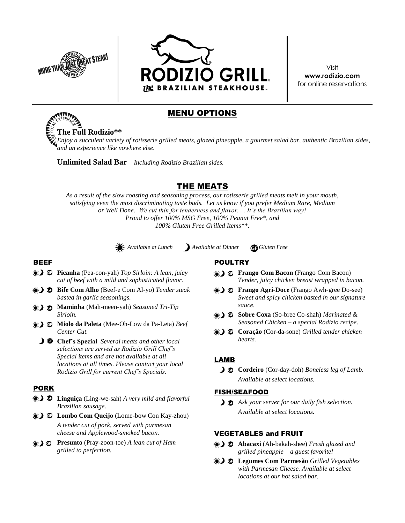



Visit **www.rodizio.com** for online reservations

## MENU OPTIONS

**The Full Rodizio\*\*** *Enjoy a succulent variety of rotisserie grilled meats, glazed pineapple, a gourmet salad bar, authentic Brazilian sides, and an experience like nowhere else.*

**Unlimited Salad Bar** – *Including Rodizio Brazilian sides.*

# THE MEATS

*As a result of the slow roasting and seasoning process, our rotisserie grilled meats melt in your mouth, satisfying even the most discriminating taste buds. Let us know if you prefer Medium Rare, Medium or Well Done. We cut thin for tenderness and flavor. . . It's the Brazilian way! Proud to offer 100% MSG Free, 100% Peanut Free\*, and 100% Gluten Free Grilled Items\*\*.*

 *Available at Lunch Available at Dinner Gluten Free*

### BEEF

- **Picanha** (Pea-con-yah) *Top Sirloin: A lean, juicy cut of beef with a mild and sophisticated flavor.*
- **Bife Com Alho** (Beef-e Com Al-yo) *Tender steak basted in garlic seasonings.*
- **Maminha** (Mah-meen-yah) *Seasoned Tri-Tip Sirloin.*
- **Miolo da Paleta** (Mee-Oh-Low da Pa-Leta) *Beef Center Cut.*
	- **Chef's Special** *Several meats and other local selections are served as Rodizio Grill Chef's Special items and are not available at all locations at all times. Please contact your local Rodizio Grill for current Chef's Specials.*

### PORK

- **Linguiça** (Ling-we-sah) *A very mild and flavorful Brazilian sausage.*
- **D** Lombo Com Queijo (Lome-bow Con Kay-zhou) *A tender cut of pork, served with parmesan cheese and Applewood-smoked bacon.*
- **Presunto** (Pray-zoon-toe) *A lean cut of Ham grilled to perfection.*

### POULTRY

- **Frango Com Bacon** (Frango Com Bacon) *Tender, juicy chicken breast wrapped in bacon.*
- **D G** Frango Agri-Doce (Frango Awh-gree Do-see) *Sweet and spicy chicken basted in our signature sauce.*
- **Sobre Coxa** (So-bree Co-shah) *Marinated & Seasoned Chicken – a special Rodizio recipe.*
- **Coração** (Cor-da-sone) *Grilled tender chicken hearts.*

### LAMB

 **Cordeiro** (Cor-day-doh) *Boneless leg of Lamb. Available at select locations.*

### FISH/SEAFOOD

*Ask your server for our daily fish selection. Available at select locations.* 

### VEGETABLES and FRUIT

- **Abacaxi** (Ah-bakah-shee) *Fresh glazed and grilled pineapple – a guest favorite!*
- **Legumes Com Parmesão** *Grilled Vegetables with Parmesan Cheese. Available at select locations at our hot salad bar.*